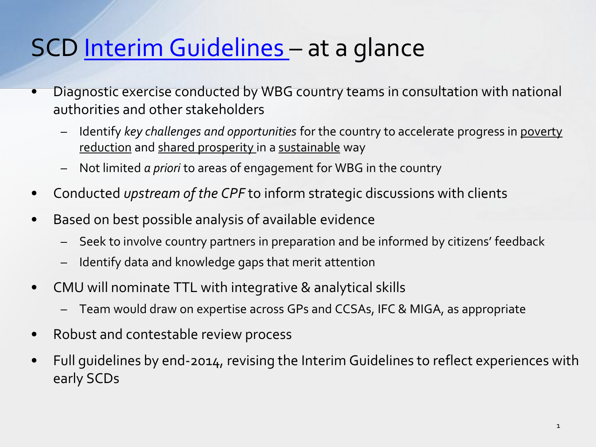## SCD [Interim Guidelines](http://intresources.worldbank.org/KIOSK/Resources/SCD_Interimguidelines_02282014.pdf) - at a glance

- Diagnostic exercise conducted by WBG country teams in consultation with national authorities and other stakeholders
	- Identify *key challenges and opportunities* for the country to accelerate progress in poverty reduction and shared prosperity in a sustainable way
	- Not limited *a priori* to areas of engagement for WBG in the country
- Conducted *upstream of the CPF* to inform strategic discussions with clients
- Based on best possible analysis of available evidence
	- Seek to involve country partners in preparation and be informed by citizens' feedback
	- Identify data and knowledge gaps that merit attention
- CMU will nominate TTL with integrative & analytical skills
	- Team would draw on expertise across GPs and CCSAs, IFC & MIGA, as appropriate
- Robust and contestable review process
- Full guidelines by end-2014, revising the Interim Guidelines to reflect experiences with early SCDs